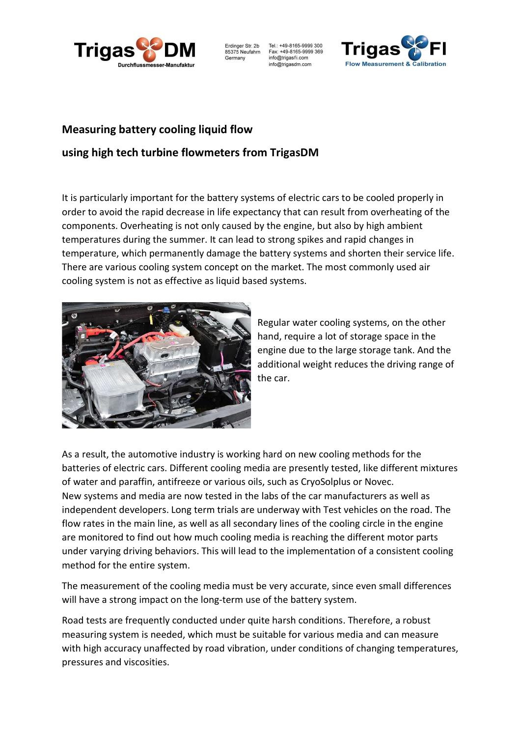

Erdinger Str. 2b 85375 Neufahrn Germany

Tel.: +49-8165-9999 300 Fax: +49-8165-9999 369 info@trigasfi.com info@trigasdm.com



## Measuring battery cooling liquid flow

## using high tech turbine flowmeters from TrigasDM

It is particularly important for the battery systems of electric cars to be cooled properly in order to avoid the rapid decrease in life expectancy that can result from overheating of the components. Overheating is not only caused by the engine, but also by high ambient temperatures during the summer. It can lead to strong spikes and rapid changes in temperature, which permanently damage the battery systems and shorten their service life. There are various cooling system concept on the market. The most commonly used air cooling system is not as effective as liquid based systems.



Regular water cooling systems, on the other hand, require a lot of storage space in the engine due to the large storage tank. And the additional weight reduces the driving range of the car.

As a result, the automotive industry is working hard on new cooling methods for the batteries of electric cars. Different cooling media are presently tested, like different mixtures of water and paraffin, antifreeze or various oils, such as CryoSolplus or Novec. New systems and media are now tested in the labs of the car manufacturers as well as independent developers. Long term trials are underway with Test vehicles on the road. The flow rates in the main line, as well as all secondary lines of the cooling circle in the engine are monitored to find out how much cooling media is reaching the different motor parts under varying driving behaviors. This will lead to the implementation of a consistent cooling method for the entire system.

The measurement of the cooling media must be very accurate, since even small differences will have a strong impact on the long-term use of the battery system.

Road tests are frequently conducted under quite harsh conditions. Therefore, a robust measuring system is needed, which must be suitable for various media and can measure with high accuracy unaffected by road vibration, under conditions of changing temperatures, pressures and viscosities.